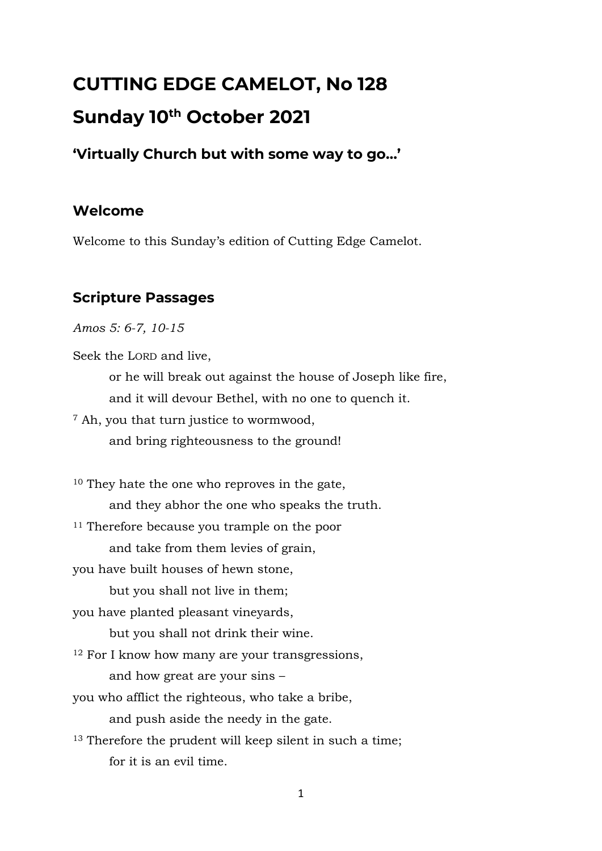# **CUTTING EDGE CAMELOT, No 128 Sunday 10th October 2021**

**'Virtually Church but with some way to go…'**

# **Welcome**

Welcome to this Sunday's edition of Cutting Edge Camelot.

# **Scripture Passages**

*Amos 5: 6-7, 10-15*

Seek the LORD and live,

or he will break out against the house of Joseph like fire, and it will devour Bethel, with no one to quench it.

<sup>7</sup> Ah, you that turn justice to wormwood,

and bring righteousness to the ground!

<sup>10</sup> They hate the one who reproves in the gate, and they abhor the one who speaks the truth. <sup>11</sup> Therefore because you trample on the poor and take from them levies of grain, you have built houses of hewn stone, but you shall not live in them; you have planted pleasant vineyards, but you shall not drink their wine. <sup>12</sup> For I know how many are your transgressions, and how great are your sins – you who afflict the righteous, who take a bribe, and push aside the needy in the gate. <sup>13</sup> Therefore the prudent will keep silent in such a time; for it is an evil time.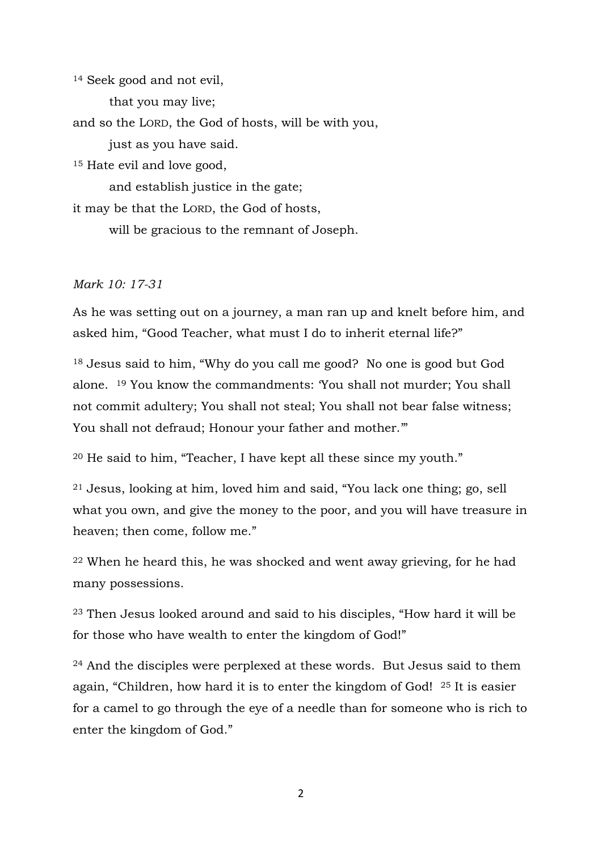<sup>14</sup> Seek good and not evil,

that you may live;

and so the LORD, the God of hosts, will be with you,

just as you have said.

<sup>15</sup> Hate evil and love good,

and establish justice in the gate;

it may be that the LORD, the God of hosts,

will be gracious to the remnant of Joseph.

#### *Mark 10: 17-31*

As he was setting out on a journey, a man ran up and knelt before him, and asked him, "Good Teacher, what must I do to inherit eternal life?"

<sup>18</sup> Jesus said to him, "Why do you call me good? No one is good but God alone. <sup>19</sup> You know the commandments: 'You shall not murder; You shall not commit adultery; You shall not steal; You shall not bear false witness; You shall not defraud; Honour your father and mother."

<sup>20</sup> He said to him, "Teacher, I have kept all these since my youth."

<sup>21</sup> Jesus, looking at him, loved him and said, "You lack one thing; go, sell what you own, and give the money to the poor, and you will have treasure in heaven; then come, follow me."

<sup>22</sup> When he heard this, he was shocked and went away grieving, for he had many possessions.

<sup>23</sup> Then Jesus looked around and said to his disciples, "How hard it will be for those who have wealth to enter the kingdom of God!"

<sup>24</sup> And the disciples were perplexed at these words. But Jesus said to them again, "Children, how hard it is to enter the kingdom of God! <sup>25</sup> It is easier for a camel to go through the eye of a needle than for someone who is rich to enter the kingdom of God."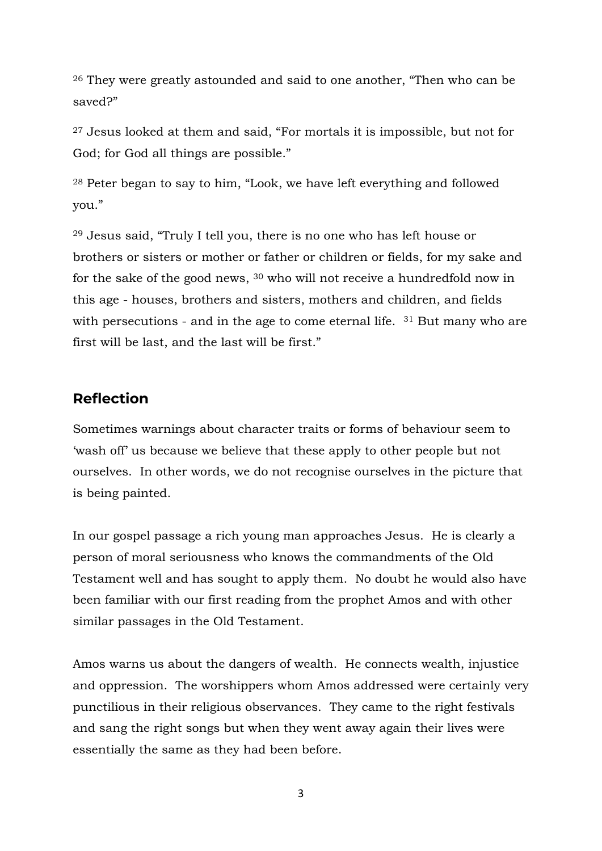<sup>26</sup> They were greatly astounded and said to one another, "Then who can be saved?"

<sup>27</sup> Jesus looked at them and said, "For mortals it is impossible, but not for God; for God all things are possible."

<sup>28</sup> Peter began to say to him, "Look, we have left everything and followed you."

<sup>29</sup> Jesus said, "Truly I tell you, there is no one who has left house or brothers or sisters or mother or father or children or fields, for my sake and for the sake of the good news, <sup>30</sup> who will not receive a hundredfold now in this age - houses, brothers and sisters, mothers and children, and fields with persecutions - and in the age to come eternal life. <sup>31</sup> But many who are first will be last, and the last will be first."

#### **Reflection**

Sometimes warnings about character traits or forms of behaviour seem to 'wash off' us because we believe that these apply to other people but not ourselves. In other words, we do not recognise ourselves in the picture that is being painted.

In our gospel passage a rich young man approaches Jesus. He is clearly a person of moral seriousness who knows the commandments of the Old Testament well and has sought to apply them. No doubt he would also have been familiar with our first reading from the prophet Amos and with other similar passages in the Old Testament.

Amos warns us about the dangers of wealth. He connects wealth, injustice and oppression. The worshippers whom Amos addressed were certainly very punctilious in their religious observances. They came to the right festivals and sang the right songs but when they went away again their lives were essentially the same as they had been before.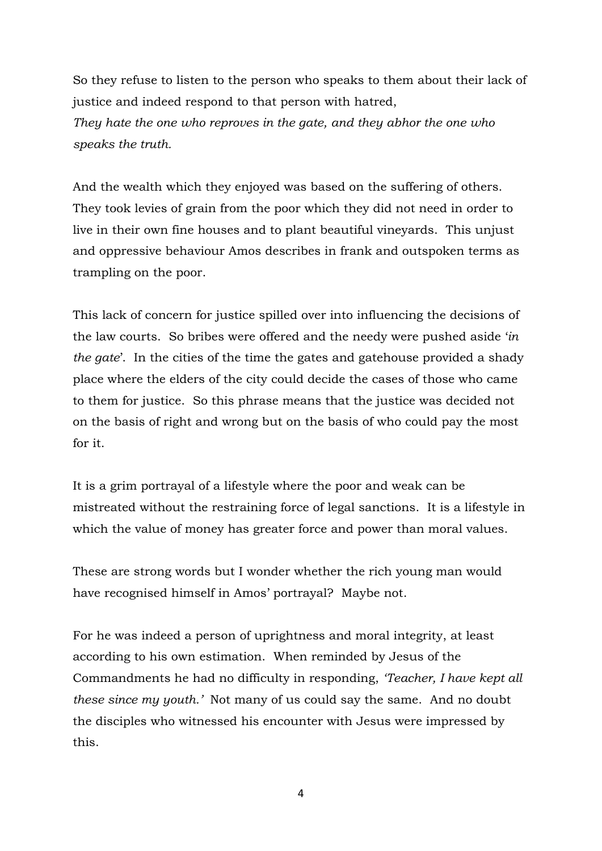So they refuse to listen to the person who speaks to them about their lack of justice and indeed respond to that person with hatred, *They hate the one who reproves in the gate, and they abhor the one who speaks the truth.*

And the wealth which they enjoyed was based on the suffering of others. They took levies of grain from the poor which they did not need in order to live in their own fine houses and to plant beautiful vineyards. This unjust and oppressive behaviour Amos describes in frank and outspoken terms as trampling on the poor.

This lack of concern for justice spilled over into influencing the decisions of the law courts. So bribes were offered and the needy were pushed aside '*in the gate*'. In the cities of the time the gates and gatehouse provided a shady place where the elders of the city could decide the cases of those who came to them for justice. So this phrase means that the justice was decided not on the basis of right and wrong but on the basis of who could pay the most for it.

It is a grim portrayal of a lifestyle where the poor and weak can be mistreated without the restraining force of legal sanctions. It is a lifestyle in which the value of money has greater force and power than moral values.

These are strong words but I wonder whether the rich young man would have recognised himself in Amos' portrayal? Maybe not.

For he was indeed a person of uprightness and moral integrity, at least according to his own estimation. When reminded by Jesus of the Commandments he had no difficulty in responding, *'Teacher, I have kept all these since my youth.'* Not many of us could say the same. And no doubt the disciples who witnessed his encounter with Jesus were impressed by this.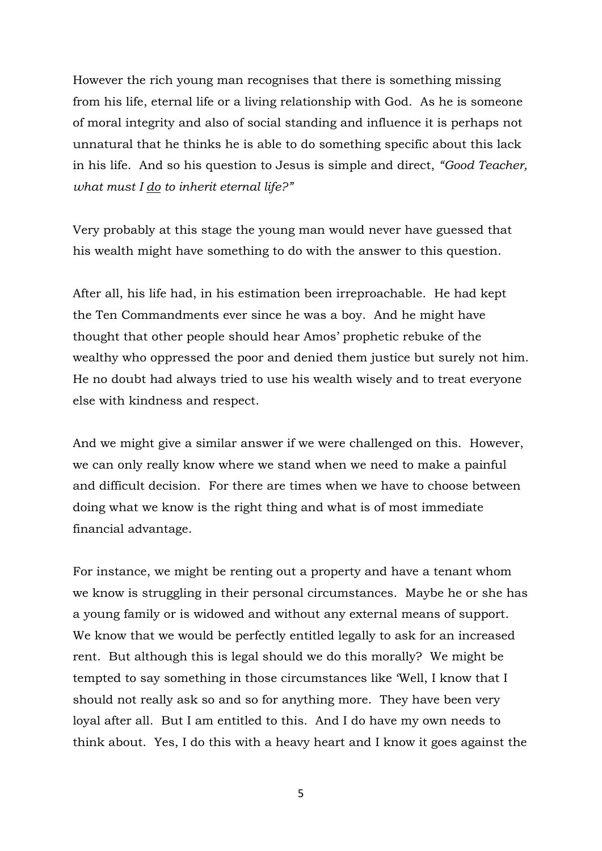However the rich young man recognises that there is something missing from his life, eternal life or a living relationship with God. As he is someone of moral integrity and also of social standing and influence it is perhaps not unnatural that he thinks he is able to do something specific about this lack in his life. And so his question to Jesus is simple and direct, *"Good Teacher, what must I do to inherit eternal life?"*

Very probably at this stage the young man would never have guessed that his wealth might have something to do with the answer to this question.

After all, his life had, in his estimation been irreproachable. He had kept the Ten Commandments ever since he was a boy. And he might have thought that other people should hear Amos' prophetic rebuke of the wealthy who oppressed the poor and denied them justice but surely not him. He no doubt had always tried to use his wealth wisely and to treat everyone else with kindness and respect.

And we might give a similar answer if we were challenged on this. However, we can only really know where we stand when we need to make a painful and difficult decision. For there are times when we have to choose between doing what we know is the right thing and what is of most immediate financial advantage.

For instance, we might be renting out a property and have a tenant whom we know is struggling in their personal circumstances. Maybe he or she has a young family or is widowed and without any external means of support. We know that we would be perfectly entitled legally to ask for an increased rent. But although this is legal should we do this morally? We might be tempted to say something in those circumstances like 'Well, I know that I should not really ask so and so for anything more. They have been very loyal after all. But I am entitled to this. And I do have my own needs to think about. Yes, I do this with a heavy heart and I know it goes against the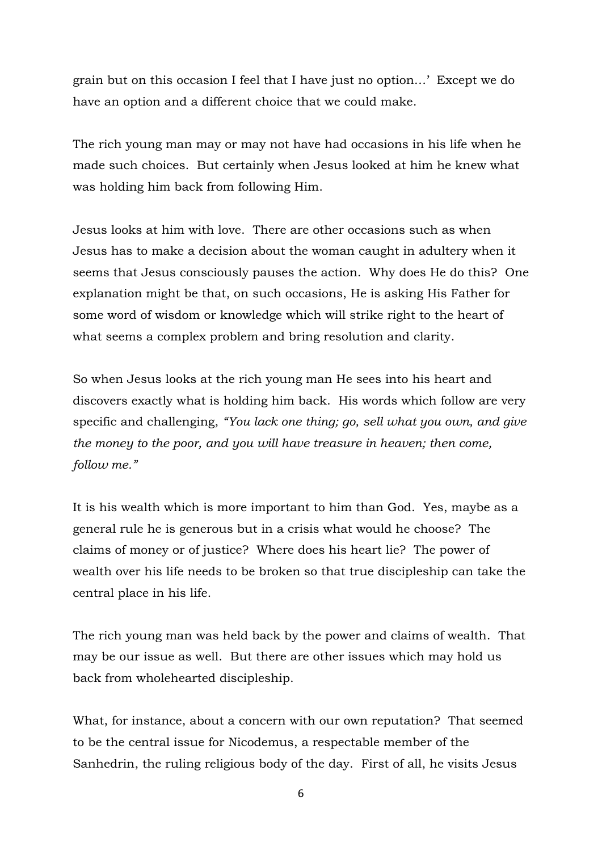grain but on this occasion I feel that I have just no option…' Except we do have an option and a different choice that we could make.

The rich young man may or may not have had occasions in his life when he made such choices. But certainly when Jesus looked at him he knew what was holding him back from following Him.

Jesus looks at him with love. There are other occasions such as when Jesus has to make a decision about the woman caught in adultery when it seems that Jesus consciously pauses the action. Why does He do this? One explanation might be that, on such occasions, He is asking His Father for some word of wisdom or knowledge which will strike right to the heart of what seems a complex problem and bring resolution and clarity.

So when Jesus looks at the rich young man He sees into his heart and discovers exactly what is holding him back. His words which follow are very specific and challenging, *"You lack one thing; go, sell what you own, and give the money to the poor, and you will have treasure in heaven; then come, follow me."*

It is his wealth which is more important to him than God. Yes, maybe as a general rule he is generous but in a crisis what would he choose? The claims of money or of justice? Where does his heart lie? The power of wealth over his life needs to be broken so that true discipleship can take the central place in his life.

The rich young man was held back by the power and claims of wealth. That may be our issue as well. But there are other issues which may hold us back from wholehearted discipleship.

What, for instance, about a concern with our own reputation? That seemed to be the central issue for Nicodemus, a respectable member of the Sanhedrin, the ruling religious body of the day. First of all, he visits Jesus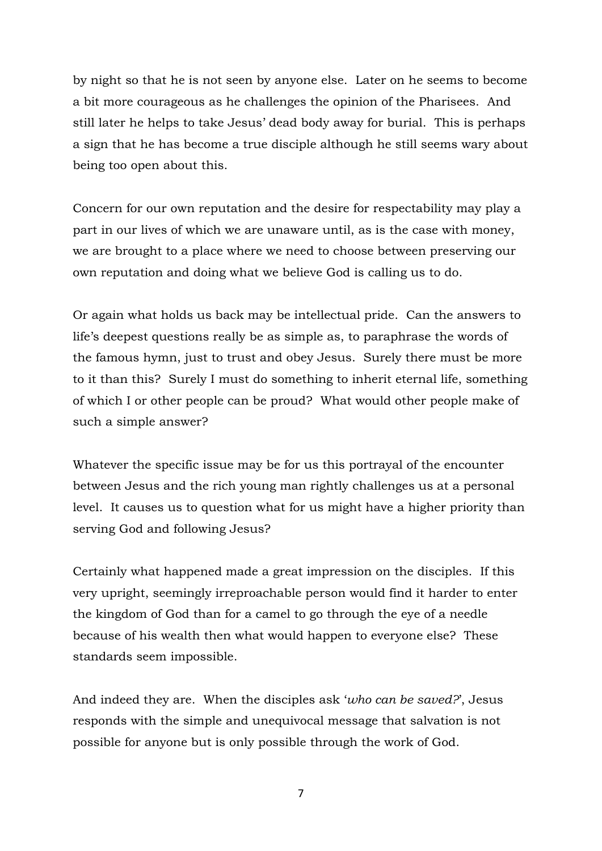by night so that he is not seen by anyone else. Later on he seems to become a bit more courageous as he challenges the opinion of the Pharisees. And still later he helps to take Jesus' dead body away for burial. This is perhaps a sign that he has become a true disciple although he still seems wary about being too open about this.

Concern for our own reputation and the desire for respectability may play a part in our lives of which we are unaware until, as is the case with money, we are brought to a place where we need to choose between preserving our own reputation and doing what we believe God is calling us to do.

Or again what holds us back may be intellectual pride. Can the answers to life's deepest questions really be as simple as, to paraphrase the words of the famous hymn, just to trust and obey Jesus. Surely there must be more to it than this? Surely I must do something to inherit eternal life, something of which I or other people can be proud? What would other people make of such a simple answer?

Whatever the specific issue may be for us this portrayal of the encounter between Jesus and the rich young man rightly challenges us at a personal level. It causes us to question what for us might have a higher priority than serving God and following Jesus?

Certainly what happened made a great impression on the disciples. If this very upright, seemingly irreproachable person would find it harder to enter the kingdom of God than for a camel to go through the eye of a needle because of his wealth then what would happen to everyone else? These standards seem impossible.

And indeed they are. When the disciples ask '*who can be saved?*', Jesus responds with the simple and unequivocal message that salvation is not possible for anyone but is only possible through the work of God.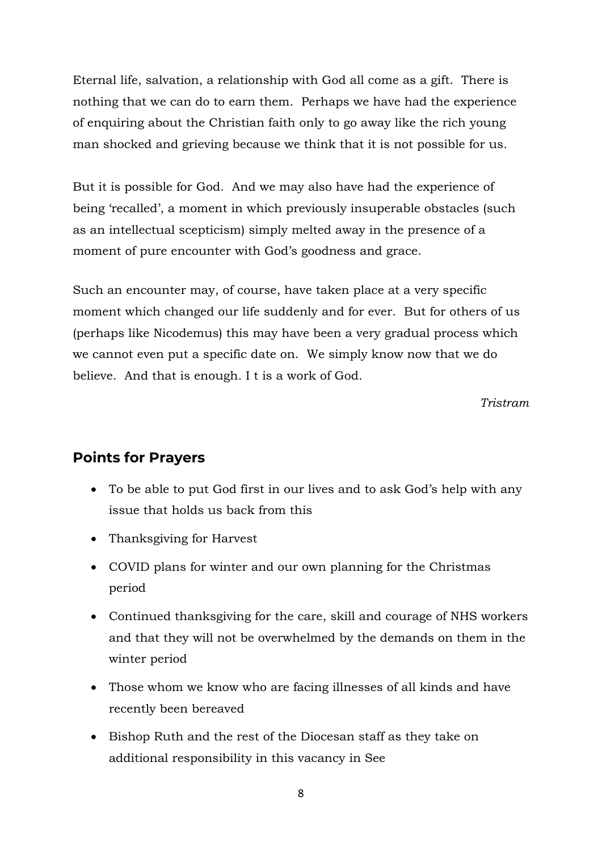Eternal life, salvation, a relationship with God all come as a gift. There is nothing that we can do to earn them. Perhaps we have had the experience of enquiring about the Christian faith only to go away like the rich young man shocked and grieving because we think that it is not possible for us.

But it is possible for God. And we may also have had the experience of being 'recalled', a moment in which previously insuperable obstacles (such as an intellectual scepticism) simply melted away in the presence of a moment of pure encounter with God's goodness and grace.

Such an encounter may, of course, have taken place at a very specific moment which changed our life suddenly and for ever. But for others of us (perhaps like Nicodemus) this may have been a very gradual process which we cannot even put a specific date on. We simply know now that we do believe. And that is enough. I t is a work of God.

*Tristram*

#### **Points for Prayers**

- To be able to put God first in our lives and to ask God's help with any issue that holds us back from this
- Thanksgiving for Harvest
- COVID plans for winter and our own planning for the Christmas period
- Continued thanksgiving for the care, skill and courage of NHS workers and that they will not be overwhelmed by the demands on them in the winter period
- Those whom we know who are facing illnesses of all kinds and have recently been bereaved
- Bishop Ruth and the rest of the Diocesan staff as they take on additional responsibility in this vacancy in See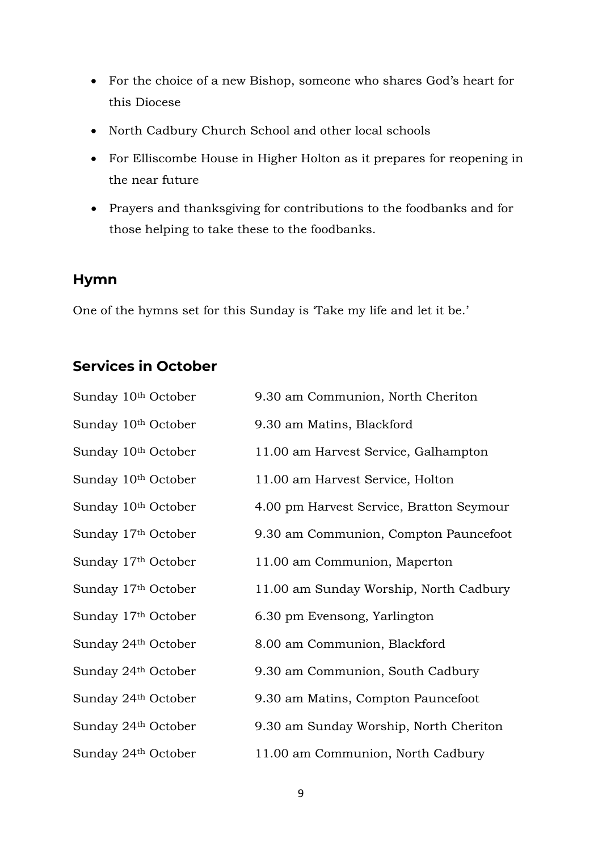- For the choice of a new Bishop, someone who shares God's heart for this Diocese
- North Cadbury Church School and other local schools
- For Elliscombe House in Higher Holton as it prepares for reopening in the near future
- Prayers and thanksgiving for contributions to the foodbanks and for those helping to take these to the foodbanks.

#### **Hymn**

One of the hymns set for this Sunday is 'Take my life and let it be.'

# **Services in October**

| Sunday 10th October             | 9.30 am Communion, North Cheriton        |
|---------------------------------|------------------------------------------|
| Sunday 10th October             | 9.30 am Matins, Blackford                |
| Sunday 10th October             | 11.00 am Harvest Service, Galhampton     |
| Sunday 10th October             | 11.00 am Harvest Service, Holton         |
| Sunday 10 <sup>th</sup> October | 4.00 pm Harvest Service, Bratton Seymour |
| Sunday 17th October             | 9.30 am Communion, Compton Pauncefoot    |
| Sunday 17th October             | 11.00 am Communion, Maperton             |
| Sunday 17th October             | 11.00 am Sunday Worship, North Cadbury   |
| Sunday 17th October             | 6.30 pm Evensong, Yarlington             |
| Sunday 24th October             | 8.00 am Communion, Blackford             |
| Sunday 24th October             | 9.30 am Communion, South Cadbury         |
| Sunday 24th October             | 9.30 am Matins, Compton Pauncefoot       |
| Sunday 24th October             | 9.30 am Sunday Worship, North Cheriton   |
| Sunday 24th October             | 11.00 am Communion, North Cadbury        |